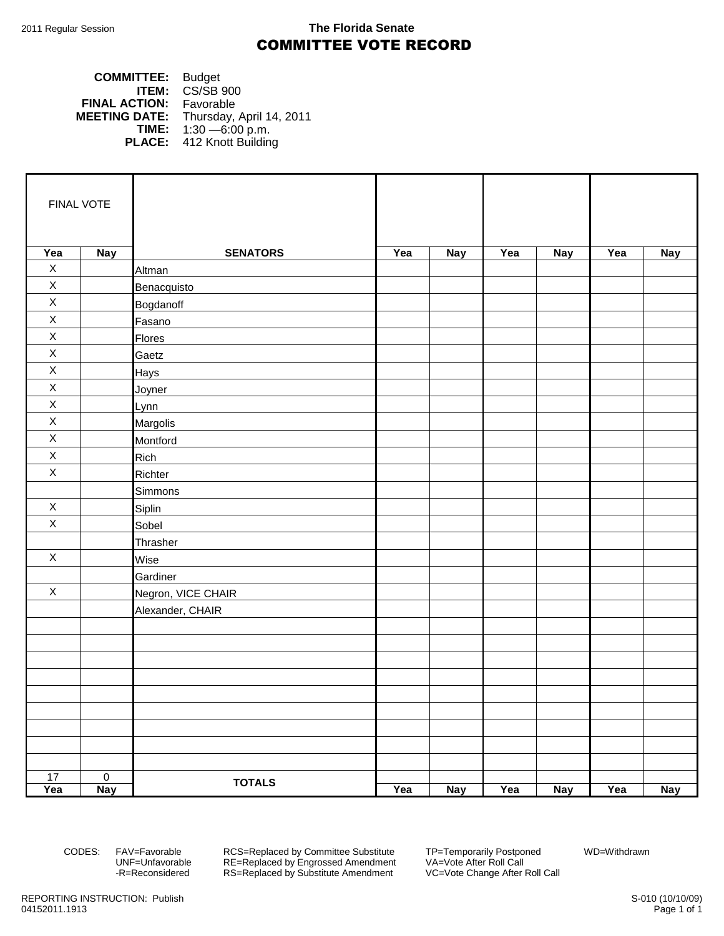## 2011 Regular Session **The Florida Senate** COMMITTEE VOTE RECORD

## **COMMITTEE:** Budget **ITEM:** CS/SB 900 **FINAL ACTION:** Favorable **MEETING DATE:** Thursday, April 14, 2011<br>**TIME:** 1:30 -6:00 p.m. **TIME:** 1:30 —6:00 p.m. **PLACE:** 412 Knott Building

| FINAL VOTE  |                |                    |     |            |     |            |     |            |
|-------------|----------------|--------------------|-----|------------|-----|------------|-----|------------|
| Yea         | <b>Nay</b>     | <b>SENATORS</b>    | Yea | <b>Nay</b> | Yea | <b>Nay</b> | Yea | <b>Nay</b> |
| $\mathsf X$ |                | Altman             |     |            |     |            |     |            |
| $\mathsf X$ |                | Benacquisto        |     |            |     |            |     |            |
| $\mathsf X$ |                | Bogdanoff          |     |            |     |            |     |            |
| $\mathsf X$ |                | Fasano             |     |            |     |            |     |            |
| $\mathsf X$ |                | <b>Flores</b>      |     |            |     |            |     |            |
| $\mathsf X$ |                | Gaetz              |     |            |     |            |     |            |
| $\mathsf X$ |                | Hays               |     |            |     |            |     |            |
| $\mathsf X$ |                | Joyner             |     |            |     |            |     |            |
| $\mathsf X$ |                | Lynn               |     |            |     |            |     |            |
| $\mathsf X$ |                | Margolis           |     |            |     |            |     |            |
| $\mathsf X$ |                | Montford           |     |            |     |            |     |            |
| $\mathsf X$ |                | Rich               |     |            |     |            |     |            |
| $\mathsf X$ |                | Richter            |     |            |     |            |     |            |
|             |                | Simmons            |     |            |     |            |     |            |
| X           |                | Siplin             |     |            |     |            |     |            |
| $\mathsf X$ |                | Sobel              |     |            |     |            |     |            |
|             |                | Thrasher           |     |            |     |            |     |            |
| $\mathsf X$ |                | Wise               |     |            |     |            |     |            |
|             |                | Gardiner           |     |            |     |            |     |            |
| $\mathsf X$ |                | Negron, VICE CHAIR |     |            |     |            |     |            |
|             |                | Alexander, CHAIR   |     |            |     |            |     |            |
|             |                |                    |     |            |     |            |     |            |
|             |                |                    |     |            |     |            |     |            |
|             |                |                    |     |            |     |            |     |            |
|             |                |                    |     |            |     |            |     |            |
|             |                |                    |     |            |     |            |     |            |
|             |                |                    |     |            |     |            |     |            |
|             |                |                    |     |            |     |            |     |            |
|             |                |                    |     |            |     |            |     |            |
|             |                |                    |     |            |     |            |     |            |
| 17          | $\overline{0}$ | <b>TOTALS</b>      |     |            |     |            |     |            |
| Yea         | <b>Nay</b>     |                    | Yea | <b>Nay</b> | Yea | <b>Nay</b> | Yea | <b>Nay</b> |

CODES: FAV=Favorable RCS=Replaced by Committee Substitute TP=Temporarily Postponed WD=Withdrawn<br>UNF=Unfavorable RE=Replaced by Engrossed Amendment VA=Vote After Roll Call UNF=Unfavorable RE=Replaced by Engrossed Amendment VA=Vote After Roll Call<br>-R=Reconsidered RS=Replaced by Substitute Amendment VC=Vote Change After Roll Call RS=Replaced by Substitute Amendment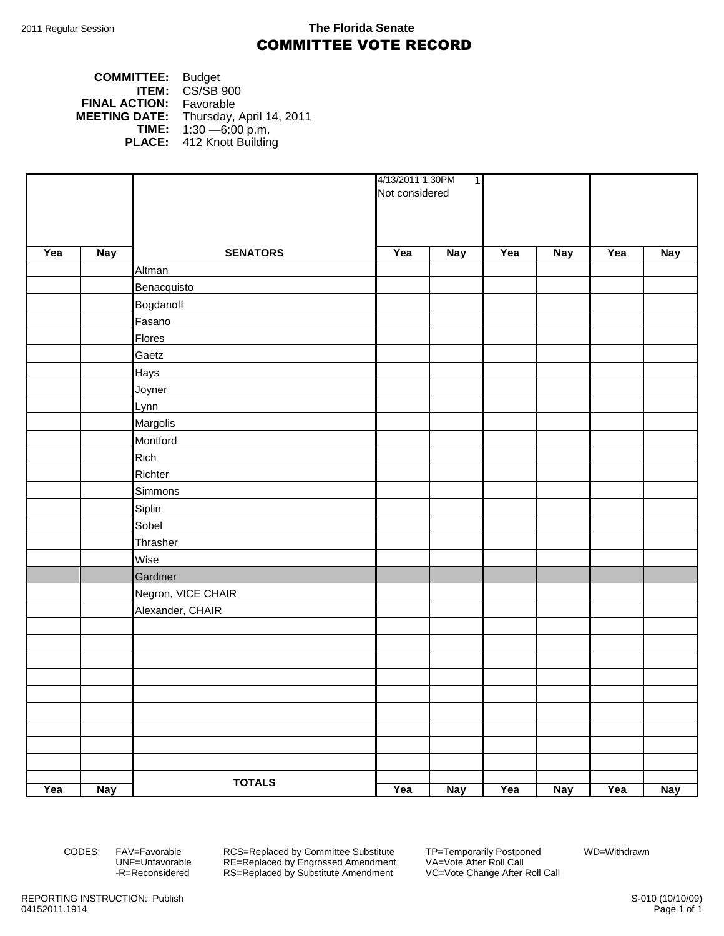## 2011 Regular Session **The Florida Senate** COMMITTEE VOTE RECORD

| <b>COMMITTEE:</b>    | <b>Budget</b>             |
|----------------------|---------------------------|
| ITEM:                | CS/SB 900                 |
| <b>FINAL ACTION:</b> | Favorable                 |
| <b>MEETING DATE:</b> | Thursday, April 14, 2011  |
| TIME:                | $1:30 - 6:00$ p.m.        |
|                      | PLACE: 412 Knott Building |

|     |            |                    | 4/13/2011 1:30PM<br>$\overline{1}$ |            |     |            |     |            |
|-----|------------|--------------------|------------------------------------|------------|-----|------------|-----|------------|
|     |            |                    | Not considered                     |            |     |            |     |            |
|     |            |                    |                                    |            |     |            |     |            |
|     |            |                    |                                    |            |     |            |     |            |
| Yea | <b>Nay</b> | <b>SENATORS</b>    | Yea                                | <b>Nay</b> | Yea | <b>Nay</b> | Yea | <b>Nay</b> |
|     |            | <b>Altman</b>      |                                    |            |     |            |     |            |
|     |            | Benacquisto        |                                    |            |     |            |     |            |
|     |            | Bogdanoff          |                                    |            |     |            |     |            |
|     |            | Fasano             |                                    |            |     |            |     |            |
|     |            | Flores             |                                    |            |     |            |     |            |
|     |            | Gaetz              |                                    |            |     |            |     |            |
|     |            | <b>Hays</b>        |                                    |            |     |            |     |            |
|     |            | Joyner             |                                    |            |     |            |     |            |
|     |            | Lynn               |                                    |            |     |            |     |            |
|     |            | Margolis           |                                    |            |     |            |     |            |
|     |            | Montford           |                                    |            |     |            |     |            |
|     |            | Rich               |                                    |            |     |            |     |            |
|     |            | Richter            |                                    |            |     |            |     |            |
|     |            | Simmons            |                                    |            |     |            |     |            |
|     |            | <b>Siplin</b>      |                                    |            |     |            |     |            |
|     |            | Sobel              |                                    |            |     |            |     |            |
|     |            | Thrasher           |                                    |            |     |            |     |            |
|     |            | Wise               |                                    |            |     |            |     |            |
|     |            | Gardiner           |                                    |            |     |            |     |            |
|     |            | Negron, VICE CHAIR |                                    |            |     |            |     |            |
|     |            | Alexander, CHAIR   |                                    |            |     |            |     |            |
|     |            |                    |                                    |            |     |            |     |            |
|     |            |                    |                                    |            |     |            |     |            |
|     |            |                    |                                    |            |     |            |     |            |
|     |            |                    |                                    |            |     |            |     |            |
|     |            |                    |                                    |            |     |            |     |            |
|     |            |                    |                                    |            |     |            |     |            |
|     |            |                    |                                    |            |     |            |     |            |
|     |            |                    |                                    |            |     |            |     |            |
|     |            |                    |                                    |            |     |            |     |            |
|     |            | <b>TOTALS</b>      |                                    |            |     |            |     |            |
| Yea | <b>Nay</b> |                    | Yea                                | <b>Nay</b> | Yea | <b>Nay</b> | Yea | <b>Nay</b> |

CODES: FAV=Favorable RCS=Replaced by Committee Substitute TP=Temporarily Postponed WD=Withdrawn UNF=Unfavorable RE=Replaced by Engrossed Amendment VA=Vote After Roll Call -R=Reconsidered RS=Replaced by Substitute Amendment VC=Vote Change After Roll Call